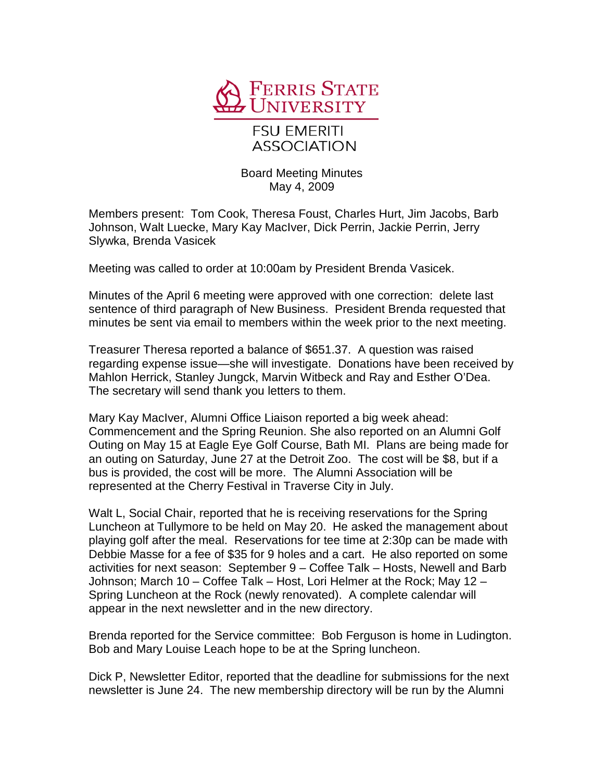

## **FSU EMERITI ASSOCIATION**

Board Meeting Minutes May 4, 2009

Members present: Tom Cook, Theresa Foust, Charles Hurt, Jim Jacobs, Barb Johnson, Walt Luecke, Mary Kay MacIver, Dick Perrin, Jackie Perrin, Jerry Slywka, Brenda Vasicek

Meeting was called to order at 10:00am by President Brenda Vasicek.

Minutes of the April 6 meeting were approved with one correction: delete last sentence of third paragraph of New Business. President Brenda requested that minutes be sent via email to members within the week prior to the next meeting.

Treasurer Theresa reported a balance of \$651.37. A question was raised regarding expense issue—she will investigate. Donations have been received by Mahlon Herrick, Stanley Jungck, Marvin Witbeck and Ray and Esther O'Dea. The secretary will send thank you letters to them.

Mary Kay MacIver, Alumni Office Liaison reported a big week ahead: Commencement and the Spring Reunion. She also reported on an Alumni Golf Outing on May 15 at Eagle Eye Golf Course, Bath MI. Plans are being made for an outing on Saturday, June 27 at the Detroit Zoo. The cost will be \$8, but if a bus is provided, the cost will be more. The Alumni Association will be represented at the Cherry Festival in Traverse City in July.

Walt L, Social Chair, reported that he is receiving reservations for the Spring Luncheon at Tullymore to be held on May 20. He asked the management about playing golf after the meal. Reservations for tee time at 2:30p can be made with Debbie Masse for a fee of \$35 for 9 holes and a cart. He also reported on some activities for next season: September 9 – Coffee Talk – Hosts, Newell and Barb Johnson; March 10 – Coffee Talk – Host, Lori Helmer at the Rock; May 12 – Spring Luncheon at the Rock (newly renovated). A complete calendar will appear in the next newsletter and in the new directory.

Brenda reported for the Service committee: Bob Ferguson is home in Ludington. Bob and Mary Louise Leach hope to be at the Spring luncheon.

Dick P, Newsletter Editor, reported that the deadline for submissions for the next newsletter is June 24. The new membership directory will be run by the Alumni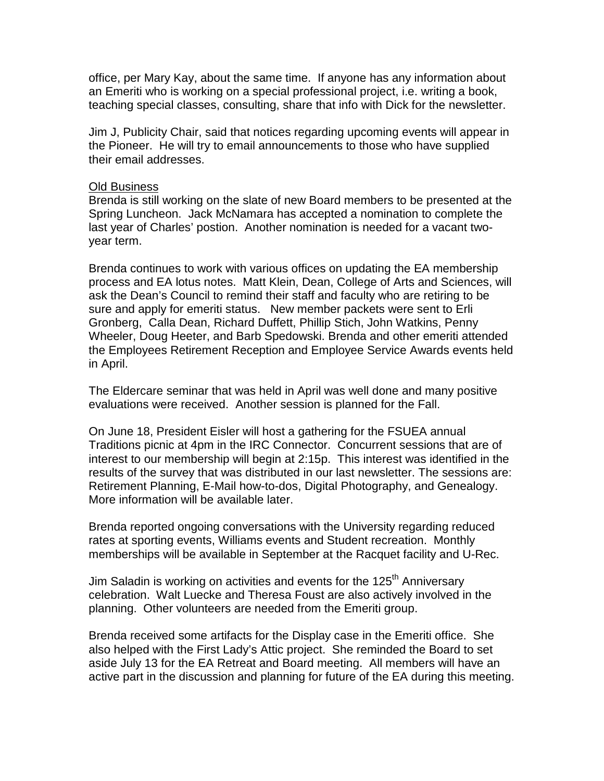office, per Mary Kay, about the same time. If anyone has any information about an Emeriti who is working on a special professional project, i.e. writing a book, teaching special classes, consulting, share that info with Dick for the newsletter.

Jim J, Publicity Chair, said that notices regarding upcoming events will appear in the Pioneer. He will try to email announcements to those who have supplied their email addresses.

## Old Business

Brenda is still working on the slate of new Board members to be presented at the Spring Luncheon. Jack McNamara has accepted a nomination to complete the last year of Charles' postion. Another nomination is needed for a vacant twoyear term.

Brenda continues to work with various offices on updating the EA membership process and EA lotus notes. Matt Klein, Dean, College of Arts and Sciences, will ask the Dean's Council to remind their staff and faculty who are retiring to be sure and apply for emeriti status. New member packets were sent to Erli Gronberg, Calla Dean, Richard Duffett, Phillip Stich, John Watkins, Penny Wheeler, Doug Heeter, and Barb Spedowski. Brenda and other emeriti attended the Employees Retirement Reception and Employee Service Awards events held in April.

The Eldercare seminar that was held in April was well done and many positive evaluations were received. Another session is planned for the Fall.

On June 18, President Eisler will host a gathering for the FSUEA annual Traditions picnic at 4pm in the IRC Connector. Concurrent sessions that are of interest to our membership will begin at 2:15p. This interest was identified in the results of the survey that was distributed in our last newsletter. The sessions are: Retirement Planning, E-Mail how-to-dos, Digital Photography, and Genealogy. More information will be available later.

Brenda reported ongoing conversations with the University regarding reduced rates at sporting events, Williams events and Student recreation. Monthly memberships will be available in September at the Racquet facility and U-Rec.

Jim Saladin is working on activities and events for the 125<sup>th</sup> Anniversary celebration. Walt Luecke and Theresa Foust are also actively involved in the planning. Other volunteers are needed from the Emeriti group.

Brenda received some artifacts for the Display case in the Emeriti office. She also helped with the First Lady's Attic project. She reminded the Board to set aside July 13 for the EA Retreat and Board meeting. All members will have an active part in the discussion and planning for future of the EA during this meeting.